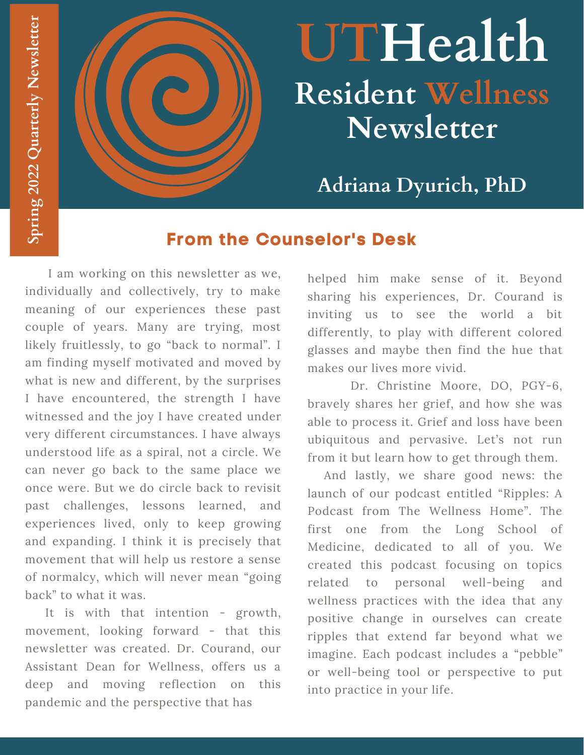

# **UTHealth Resident Wellness Newsletter**

**Adriana Dyurich, PhD**

### **From the Counselor's Desk**

I am working on this newsletter as we, individually and collectively, try to make meaning of our experiences these past couple of years. Many are trying, most likely fruitlessly, to go "back to normal". I am finding myself motivated and moved by what is new and different, by the surprises I have encountered, the strength I have witnessed and the joy I have created under very different circumstances. I have always understood life as a spiral, not a circle. We can never go back to the same place we once were. But we do circle back to revisit past challenges, lessons learned, and experiences lived, only to keep growing and expanding. I think it is precisely that movement that will help us restore a sense of normalcy, which will never mean "going back" to what it was.

It is with that intention - growth, movement, looking forward - that this newsletter was created. Dr. Courand, our Assistant Dean for Wellness, offers us a deep and moving reflection on this pandemic and the perspective that has

helped him make sense of it. Beyond sharing his experiences, Dr. Courand is inviting us to see the world a bit differently, to play with different colored glasses and maybe then find the hue that makes our lives more vivid.

Dr. Christine Moore, DO, PGY-6, bravely shares her grief, and how she was able to process it. Grief and loss have been ubiquitous and pervasive. Let's not run from it but learn how to get through them.

And lastly, we share good news: the launch of our podcast entitled "Ripples: A Podcast from The Wellness Home". The first one from the Long School of Medicine, dedicated to all of you. We created this podcast focusing on topics related to personal well-being and wellness practices with the idea that any positive change in ourselves can create ripples that extend far beyond what we imagine. Each podcast includes a "pebble" or well-being tool or perspective to put into practice in your life.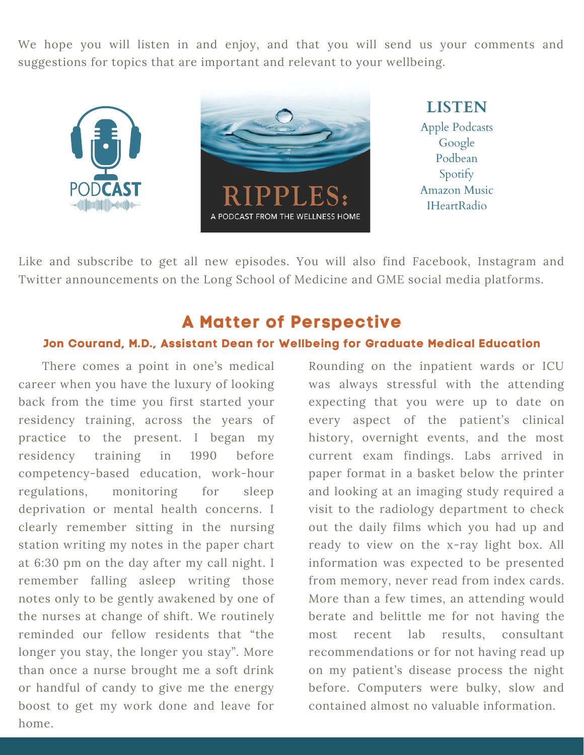We hope you will listen in and enjoy, and that you will send us your comments and suggestions for topics that are important and relevant to your wellbeing.





**LISTEN** Apple Podcasts Google Podbean Spotify Amazon Music IHeartRadio

Like and subscribe to get all new episodes. You will also find Facebook, Instagram and Twitter announcements on the Long School of Medicine and GME social media platforms.

#### **A Matter of Perspective**

#### **Jon Courand, M.D., Assistant Dean for Wellbeing for Graduate Medical Education**

There comes a point in one's medical career when you have the luxury of looking back from the time you first started your residency training, across the years of practice to the present. I began my residency training in 1990 before competency-based education, work-hour regulations, monitoring for sleep deprivation or mental health concerns. I clearly remember sitting in the nursing station writing my notes in the paper chart at 6:30 pm on the day after my call night. I remember falling asleep writing those notes only to be gently awakened by one of the nurses at change of shift. We routinely reminded our fellow residents that "the longer you stay, the longer you stay". More than once a nurse brought me a soft drink or handful of candy to give me the energy boost to get my work done and leave for home.

Rounding on the inpatient wards or ICU was always stressful with the attending expecting that you were up to date on every aspect of the patient's clinical history, overnight events, and the most current exam findings. Labs arrived in paper format in a basket below the printer and looking at an imaging study required a visit to the radiology department to check out the daily films which you had up and ready to view on the x-ray light box. All information was expected to be presented from memory, never read from index cards. More than a few times, an attending would berate and belittle me for not having the most recent lab results, consultant recommendations or for not having read up on my patient's disease process the night before. Computers were bulky, slow and contained almost no valuable information.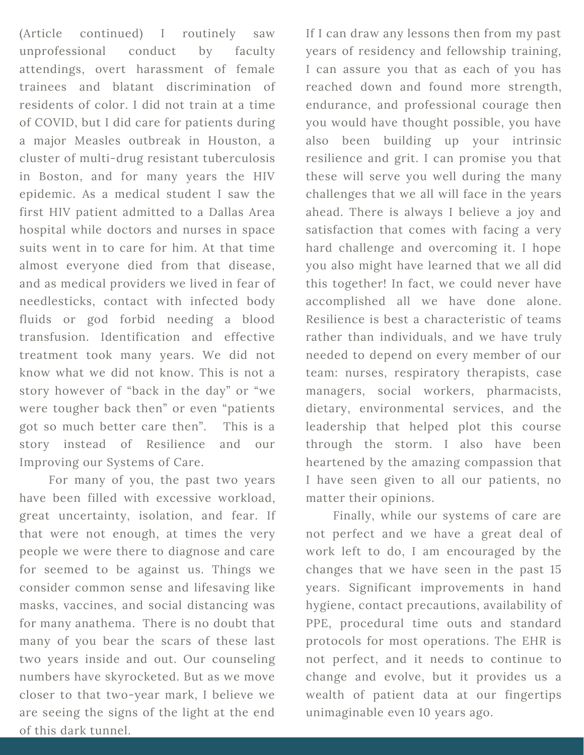(Article continued) I routinely saw unprofessional conduct by faculty attendings, overt harassment of female trainees and blatant discrimination of residents of color. I did not train at a time of COVID, but I did care for patients during a major Measles outbreak in Houston, a cluster of multi-drug resistant tuberculosis in Boston, and for many years the HIV epidemic. As a medical student I saw the first HIV patient admitted to a Dallas Area hospital while doctors and nurses in space suits went in to care for him. At that time almost everyone died from that disease, and as medical providers we lived in fear of needlesticks, contact with infected body fluids or god forbid needing a blood transfusion. Identification and effective treatment took many years. We did not know what we did not know. This is not a story however of "back in the day" or "we were tougher back then" or even "patients got so much better care then". This is a story instead of Resilience and our Improving our Systems of Care.

For many of you, the past two years have been filled with excessive workload, great uncertainty, isolation, and fear. If that were not enough, at times the very people we were there to diagnose and care for seemed to be against us. Things we consider common sense and lifesaving like masks, vaccines, and social distancing was for many anathema. There is no doubt that many of you bear the scars of these last two years inside and out. Our counseling numbers have skyrocketed. But as we move closer to that two-year mark, I believe we are seeing the signs of the light at the end of this dark tunnel.

If I can draw any lessons then from my past years of residency and fellowship training, I can assure you that as each of you has reached down and found more strength, endurance, and professional courage then you would have thought possible, you have also been building up your intrinsic resilience and grit. I can promise you that these will serve you well during the many challenges that we all will face in the years ahead. There is always I believe a joy and satisfaction that comes with facing a very hard challenge and overcoming it. I hope you also might have learned that we all did this together! In fact, we could never have accomplished all we have done alone. Resilience is best a characteristic of teams rather than individuals, and we have truly needed to depend on every member of our team: nurses, respiratory therapists, case managers, social workers, pharmacists, dietary, environmental services, and the leadership that helped plot this course through the storm. I also have been heartened by the amazing compassion that I have seen given to all our patients, no matter their opinions.

Finally, while our systems of care are not perfect and we have a great deal of work left to do, I am encouraged by the changes that we have seen in the past 15 years. Significant improvements in hand hygiene, contact precautions, availability of PPE, procedural time outs and standard protocols for most operations. The EHR is not perfect, and it needs to continue to change and evolve, but it provides us a wealth of patient data at our fingertips unimaginable even 10 years ago.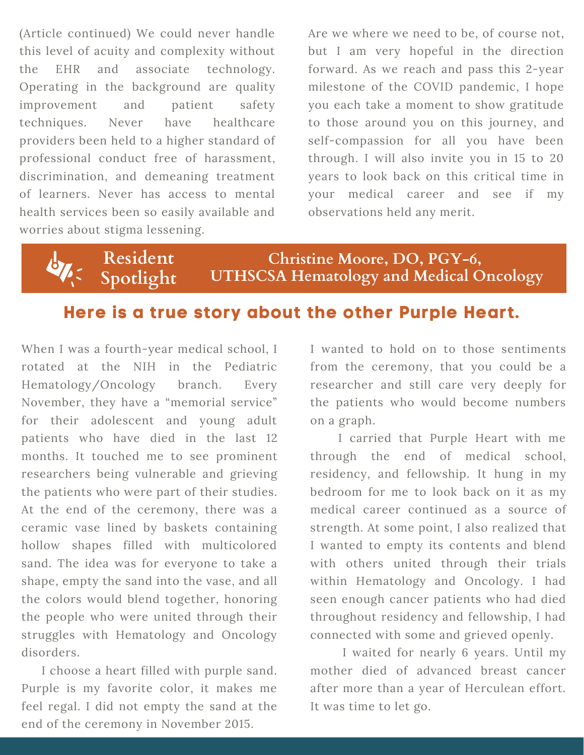(Article continued) We could never handle this level of acuity and complexity without the EHR and associate technology. Operating in the background are quality improvement and patient safety techniques. Never have healthcare providers been held to a higher standard of professional conduct free of harassment, discrimination, and demeaning treatment of learners. Never has access to mental health services been so easily available and worries about stigma lessening.

Are we where we need to be, of course not, but I am very hopeful in the direction forward. As we reach and pass this 2-year milestone of the COVID pandemic, I hope you each take a moment to show gratitude to those around you on this journey, and self-compassion for all you have been through. I will also invite you in 15 to 20 years to look back on this critical time in your medical career and see if my observations held any merit.

**Resident Spotlight**

**Christine Moore, DO, PGY-6, UTHSCSA Hematology and Medical Oncology**

## **Here is a true story about the other Purple Heart.**

When I was a fourth-year medical school, I rotated at the NIH in the Pediatric Hematology/Oncology branch. Every November, they have a "memorial service" for their adolescent and young adult patients who have died in the last 12 months. It touched me to see prominent researchers being vulnerable and grieving the patients who were part of their studies. At the end of the ceremony, there was a ceramic vase lined by baskets containing hollow shapes filled with multicolored sand. The idea was for everyone to take a shape, empty the sand into the vase, and all the colors would blend together, honoring the people who were united through their struggles with Hematology and Oncology disorders.

I choose a heart filled with purple sand. Purple is my favorite color, it makes me feel regal. I did not empty the sand at the end of the ceremony in November 2015.

I wanted to hold on to those sentiments from the ceremony, that you could be a researcher and still care very deeply for the patients who would become numbers on a graph.

I carried that Purple Heart with me through the end of medical school, residency, and fellowship. It hung in my bedroom for me to look back on it as my medical career continued as a source of strength. At some point, I also realized that I wanted to empty its contents and blend with others united through their trials within Hematology and Oncology. I had seen enough cancer patients who had died throughout residency and fellowship, I had connected with some and grieved openly.

I waited for nearly 6 years. Until my mother died of advanced breast cancer after more than a year of Herculean effort. It was time to let go.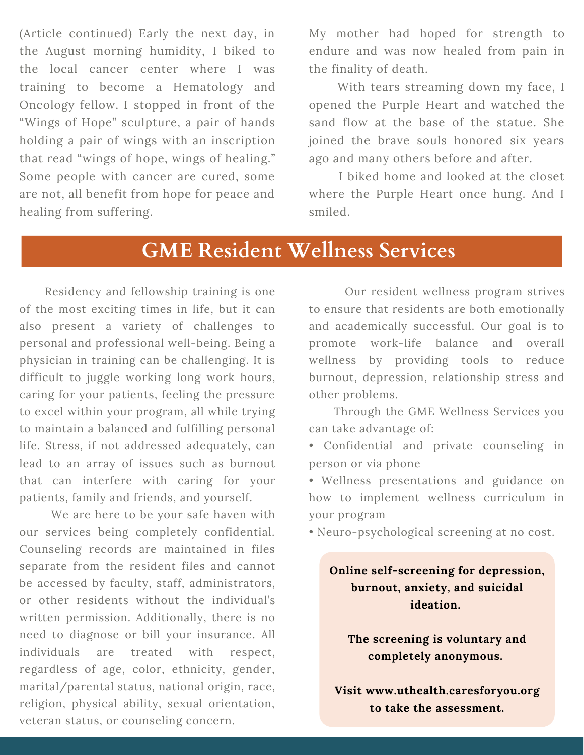(Article continued) Early the next day, in the August morning humidity, I biked to the local cancer center where I was training to become a Hematology and Oncology fellow. I stopped in front of the "Wings of Hope" sculpture, a pair of hands holding a pair of wings with an inscription that read "wings of hope, wings of healing." Some people with cancer are cured, some are not, all benefit from hope for peace and healing from suffering.

My mother had hoped for strength to endure and was now healed from pain in the finality of death.

With tears streaming down my face, I opened the Purple Heart and watched the sand flow at the base of the statue. She joined the brave souls honored six years ago and many others before and after.

I biked home and looked at the closet where the Purple Heart once hung. And I smiled.

## **GME Resident Wellness Services**

Residency and fellowship training is one of the most exciting times in life, but it can also present a variety of challenges to personal and professional well-being. Being a physician in training can be challenging. It is difficult to juggle working long work hours, caring for your patients, feeling the pressure to excel within your program, all while trying to maintain a balanced and fulfilling personal life. Stress, if not addressed adequately, can lead to an array of issues such as burnout that can interfere with caring for your patients, family and friends, and yourself.

We are here to be your safe haven with our services being completely confidential. Counseling records are maintained in files separate from the resident files and cannot be accessed by faculty, staff, administrators, or other residents without the individual's written permission. Additionally, there is no need to diagnose or bill your insurance. All individuals are treated with respect, regardless of age, color, ethnicity, gender, marital/parental status, national origin, race, religion, physical ability, sexual orientation, veteran status, or counseling concern.

Our resident wellness program strives to ensure that residents are both emotionally and academically successful. Our goal is to promote work-life balance and overall wellness by providing tools to reduce burnout, depression, relationship stress and other problems.

Through the GME Wellness Services you can take advantage of:

• Confidential and private counseling in person or via phone

• Wellness presentations and guidance on how to implement wellness curriculum in your program

• Neuro-psychological screening at no cost.

**Online self-screening for depression, burnout, anxiety, and suicidal ideation.**

**The screening is voluntary and completely anonymous.**

**Visit www.uthealth.caresforyou.org to take the assessment.**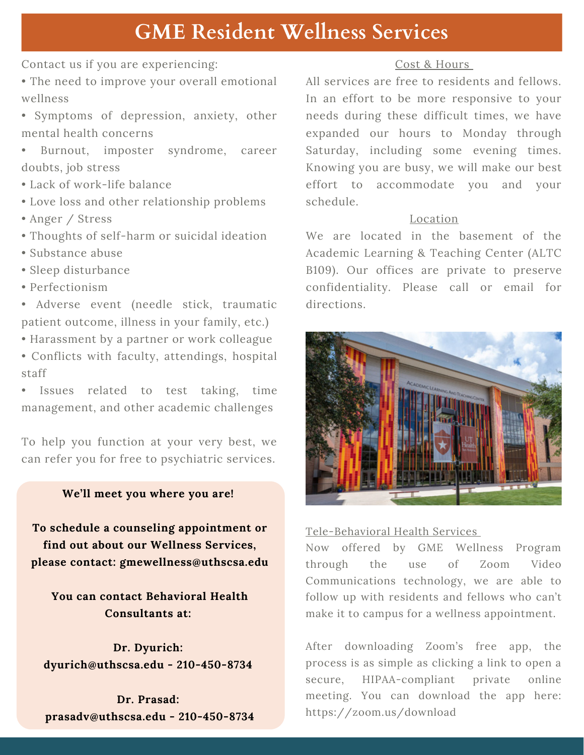# **GME Resident Wellness Services**

Contact us if you are experiencing:

- The need to improve your overall emotional wellness
- Symptoms of depression, anxiety, other mental health concerns
- Burnout, imposter syndrome, career doubts, job stress
- Lack of work-life balance
- Love loss and other relationship problems
- Anger / Stress
- Thoughts of self-harm or suicidal ideation
- Substance abuse
- Sleep disturbance
- Perfectionism

• Adverse event (needle stick, traumatic patient outcome, illness in your family, etc.)

- Harassment by a partner or work colleague
- Conflicts with faculty, attendings, hospital staff

• Issues related to test taking, time management, and other academic challenges

To help you function at your very best, we can refer you for free to psychiatric services.

#### **We'll meet you where you are!**

**To schedule a counseling appointment or find out about our Wellness Services, please contact: [gmewellness@uthscsa.edu](mailto:gmewellness@uthscsa.edu)**

**You can contact Behavioral Health Consultants at:**

**Dr. Dyurich: dyurich@uthscsa.edu - 210-450-8734**

**Dr. Prasad: prasadv@uthscsa.edu - 210-450-8734**

#### Cost & Hours

All services are free to residents and fellows. In an effort to be more responsive to your needs during these difficult times, we have expanded our hours to Monday through Saturday, including some evening times. Knowing you are busy, we will make our best effort to accommodate you and your schedule.

#### Location

We are located in the basement of the Academic Learning & Teaching Center (ALTC B109). Our offices are private to preserve confidentiality. Please call or email for directions.



#### Tele-Behavioral Health Services

Now offered by GME Wellness Program through the use of Zoom Video Communications technology, we are able to follow up with residents and fellows who can't make it to campus for a wellness appointment.

After downloading Zoom's free app, the process is as simple as clicking a link to open a secure, HIPAA-compliant private online meeting. You can download the app here: <https://zoom.us/download>